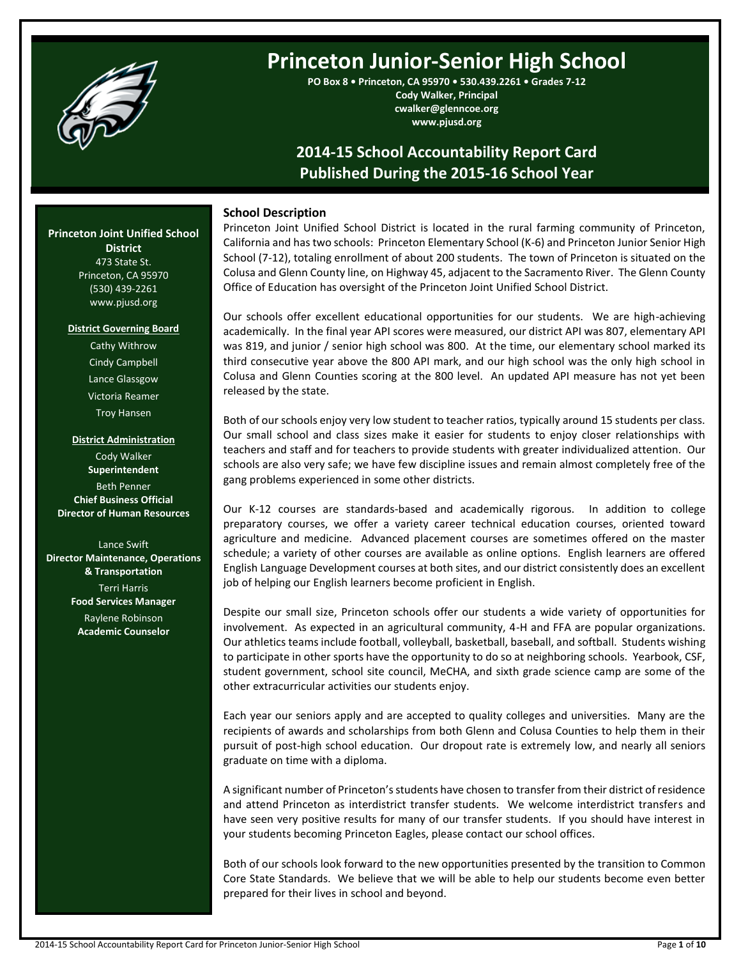

# **Princeton Junior-Senior High School**

**PO Box 8 • Princeton, CA 95970 • 530.439.2261 • Grades 7-12 Cody Walker, Principal cwalker@glenncoe.org www.pjusd.org**

## **2014-15 School Accountability Report Card Published During the 2015-16 School Year**

## **School Description**

Princeton Joint Unified School District is located in the rural farming community of Princeton, California and has two schools: Princeton Elementary School (K-6) and Princeton Junior Senior High School (7-12), totaling enrollment of about 200 students. The town of Princeton is situated on the Colusa and Glenn County line, on Highway 45, adjacent to the Sacramento River. The Glenn County Office of Education has oversight of the Princeton Joint Unified School District.

Our schools offer excellent educational opportunities for our students. We are high-achieving academically. In the final year API scores were measured, our district API was 807, elementary API was 819, and junior / senior high school was 800. At the time, our elementary school marked its third consecutive year above the 800 API mark, and our high school was the only high school in Colusa and Glenn Counties scoring at the 800 level. An updated API measure has not yet been released by the state.

Both of our schools enjoy very low student to teacher ratios, typically around 15 students per class. Our small school and class sizes make it easier for students to enjoy closer relationships with teachers and staff and for teachers to provide students with greater individualized attention. Our schools are also very safe; we have few discipline issues and remain almost completely free of the gang problems experienced in some other districts.

Our K-12 courses are standards-based and academically rigorous. In addition to college preparatory courses, we offer a variety career technical education courses, oriented toward agriculture and medicine. Advanced placement courses are sometimes offered on the master schedule; a variety of other courses are available as online options. English learners are offered English Language Development courses at both sites, and our district consistently does an excellent job of helping our English learners become proficient in English.

Despite our small size, Princeton schools offer our students a wide variety of opportunities for involvement. As expected in an agricultural community, 4-H and FFA are popular organizations. Our athletics teams include football, volleyball, basketball, baseball, and softball. Students wishing to participate in other sports have the opportunity to do so at neighboring schools. Yearbook, CSF, student government, school site council, MeCHA, and sixth grade science camp are some of the other extracurricular activities our students enjoy.

Each year our seniors apply and are accepted to quality colleges and universities. Many are the recipients of awards and scholarships from both Glenn and Colusa Counties to help them in their pursuit of post-high school education. Our dropout rate is extremely low, and nearly all seniors graduate on time with a diploma.

A significant number of Princeton's students have chosen to transfer from their district of residence and attend Princeton as interdistrict transfer students. We welcome interdistrict transfers and have seen very positive results for many of our transfer students. If you should have interest in your students becoming Princeton Eagles, please contact our school offices.

Both of our schools look forward to the new opportunities presented by the transition to Common Core State Standards. We believe that we will be able to help our students become even better prepared for their lives in school and beyond.

## **Princeton Joint Unified School**

**District** 473 State St. Princeton, CA 95970 (530) 439-2261 www.pjusd.org

#### **District Governing Board**

Cathy Withrow Cindy Campbell Lance Glassgow Victoria Reamer Troy Hansen

**District Administration** Cody Walker **Superintendent** Beth Penner **Chief Business Official Director of Human Resources**

Lance Swift **Director Maintenance, Operations & Transportation** Terri Harris **Food Services Manager**

> Raylene Robinson **Academic Counselor**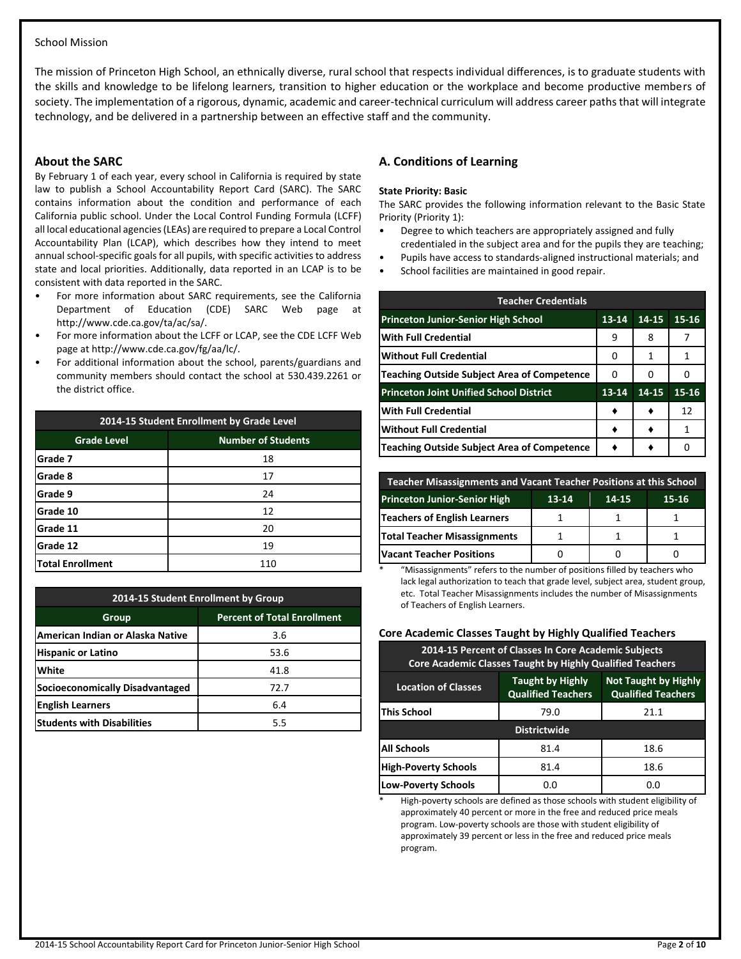## School Mission

The mission of Princeton High School, an ethnically diverse, rural school that respects individual differences, is to graduate students with the skills and knowledge to be lifelong learners, transition to higher education or the workplace and become productive members of society. The implementation of a rigorous, dynamic, academic and career-technical curriculum will address career paths that will integrate technology, and be delivered in a partnership between an effective staff and the community.

## **About the SARC**

By February 1 of each year, every school in California is required by state law to publish a School Accountability Report Card (SARC). The SARC contains information about the condition and performance of each California public school. Under the Local Control Funding Formula (LCFF) all local educational agencies (LEAs) are required to prepare a Local Control Accountability Plan (LCAP), which describes how they intend to meet annual school-specific goals for all pupils, with specific activities to address state and local priorities. Additionally, data reported in an LCAP is to be consistent with data reported in the SARC.

- For more information about SARC requirements, see the California Department of Education (CDE) SARC Web page at http://www.cde.ca.gov/ta/ac/sa/.
- For more information about the LCFF or LCAP, see the CDE LCFF Web page at http://www.cde.ca.gov/fg/aa/lc/.
- For additional information about the school, parents/guardians and community members should contact the school at 530.439.2261 or the district office.

| 2014-15 Student Enrollment by Grade Level |                           |  |  |  |
|-------------------------------------------|---------------------------|--|--|--|
| <b>Grade Level</b>                        | <b>Number of Students</b> |  |  |  |
| Grade 7                                   | 18                        |  |  |  |
| Grade 8                                   | 17                        |  |  |  |
| Grade 9                                   | 24                        |  |  |  |
| Grade 10                                  | 12                        |  |  |  |
| Grade 11                                  | 20                        |  |  |  |
| Grade 12                                  | 19                        |  |  |  |
| <b>Total Enrollment</b>                   | 110                       |  |  |  |

| 2014-15 Student Enrollment by Group |                                    |  |  |  |  |
|-------------------------------------|------------------------------------|--|--|--|--|
| Group                               | <b>Percent of Total Enrollment</b> |  |  |  |  |
| American Indian or Alaska Native    | 3.6                                |  |  |  |  |
| <b>Hispanic or Latino</b>           | 53.6                               |  |  |  |  |
| White                               | 41.8                               |  |  |  |  |
| Socioeconomically Disadvantaged     | 72.7                               |  |  |  |  |
| <b>English Learners</b>             | 6.4                                |  |  |  |  |
| <b>Students with Disabilities</b>   | 5.5                                |  |  |  |  |

## **A. Conditions of Learning**

#### **State Priority: Basic**

The SARC provides the following information relevant to the Basic State Priority (Priority 1):

- Degree to which teachers are appropriately assigned and fully
- credentialed in the subject area and for the pupils they are teaching;
- Pupils have access to standards-aligned instructional materials; and
- School facilities are maintained in good repair.

| <b>Teacher Credentials</b>                     |           |       |           |  |  |  |  |
|------------------------------------------------|-----------|-------|-----------|--|--|--|--|
| <b>Princeton Junior-Senior High School</b>     | $13 - 14$ | 14-15 | $15 - 16$ |  |  |  |  |
| <b>With Full Credential</b>                    | 9         | 8     |           |  |  |  |  |
| <b>Without Full Credential</b>                 | 0         | 1     | 1         |  |  |  |  |
| Teaching Outside Subject Area of Competence    | 0         | 0     |           |  |  |  |  |
| <b>Princeton Joint Unified School District</b> | 13-14     | 14-15 | 15-16     |  |  |  |  |
| <b>With Full Credential</b>                    |           |       | 12        |  |  |  |  |
| <b>Without Full Credential</b>                 |           |       | 1         |  |  |  |  |
| Teaching Outside Subject Area of Competence    |           |       |           |  |  |  |  |

| <b>Teacher Misassignments and Vacant Teacher Positions at this School</b> |  |  |  |  |  |  |  |  |
|---------------------------------------------------------------------------|--|--|--|--|--|--|--|--|
| <b>Princeton Junior-Senior High</b><br>13-14<br>15-16<br>14-15            |  |  |  |  |  |  |  |  |
| <b>Teachers of English Learners</b>                                       |  |  |  |  |  |  |  |  |
| <b>Total Teacher Misassignments</b>                                       |  |  |  |  |  |  |  |  |
| <b>Vacant Teacher Positions</b>                                           |  |  |  |  |  |  |  |  |

\* "Misassignments" refers to the number of positions filled by teachers who lack legal authorization to teach that grade level, subject area, student group, etc. Total Teacher Misassignments includes the number of Misassignments of Teachers of English Learners.

## **Core Academic Classes Taught by Highly Qualified Teachers**

| 2014-15 Percent of Classes In Core Academic Subjects<br><b>Core Academic Classes Taught by Highly Qualified Teachers</b>                       |                     |      |  |  |  |  |  |
|------------------------------------------------------------------------------------------------------------------------------------------------|---------------------|------|--|--|--|--|--|
| <b>Taught by Highly</b><br><b>Not Taught by Highly</b><br><b>Location of Classes</b><br><b>Qualified Teachers</b><br><b>Qualified Teachers</b> |                     |      |  |  |  |  |  |
| This School                                                                                                                                    | 79.0                | 21.1 |  |  |  |  |  |
|                                                                                                                                                | <b>Districtwide</b> |      |  |  |  |  |  |
| <b>All Schools</b><br>18.6<br>81.4                                                                                                             |                     |      |  |  |  |  |  |
| <b>High-Poverty Schools</b>                                                                                                                    | 81.4                | 18.6 |  |  |  |  |  |
| <b>Low-Poverty Schools</b>                                                                                                                     | 0.0                 | 0.O  |  |  |  |  |  |

\* High-poverty schools are defined as those schools with student eligibility of approximately 40 percent or more in the free and reduced price meals program. Low-poverty schools are those with student eligibility of approximately 39 percent or less in the free and reduced price meals program.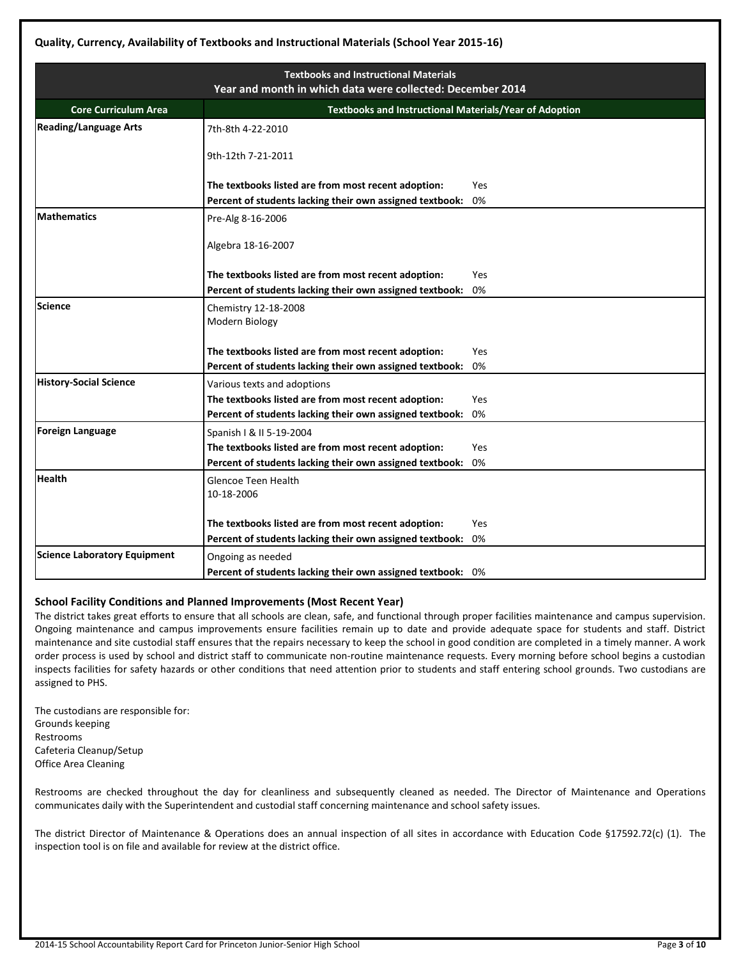|                                     | <b>Textbooks and Instructional Materials</b><br>Year and month in which data were collected: December 2014 |            |  |  |  |  |  |  |
|-------------------------------------|------------------------------------------------------------------------------------------------------------|------------|--|--|--|--|--|--|
|                                     |                                                                                                            |            |  |  |  |  |  |  |
| <b>Core Curriculum Area</b>         | <b>Textbooks and Instructional Materials/Year of Adoption</b>                                              |            |  |  |  |  |  |  |
| <b>Reading/Language Arts</b>        | 7th-8th 4-22-2010                                                                                          |            |  |  |  |  |  |  |
|                                     | 9th-12th 7-21-2011                                                                                         |            |  |  |  |  |  |  |
|                                     | The textbooks listed are from most recent adoption:                                                        | Yes        |  |  |  |  |  |  |
|                                     | Percent of students lacking their own assigned textbook:                                                   | 0%         |  |  |  |  |  |  |
| <b>Mathematics</b>                  | Pre-Alg 8-16-2006                                                                                          |            |  |  |  |  |  |  |
|                                     | Algebra 18-16-2007                                                                                         |            |  |  |  |  |  |  |
|                                     | The textbooks listed are from most recent adoption:                                                        | Yes        |  |  |  |  |  |  |
|                                     | Percent of students lacking their own assigned textbook:                                                   | 0%         |  |  |  |  |  |  |
| Science                             | Chemistry 12-18-2008<br>Modern Biology                                                                     |            |  |  |  |  |  |  |
|                                     | The textbooks listed are from most recent adoption:                                                        | Yes        |  |  |  |  |  |  |
|                                     | Percent of students lacking their own assigned textbook:                                                   | 0%         |  |  |  |  |  |  |
| <b>History-Social Science</b>       | Various texts and adoptions                                                                                |            |  |  |  |  |  |  |
|                                     | The textbooks listed are from most recent adoption:                                                        | Yes        |  |  |  |  |  |  |
|                                     | Percent of students lacking their own assigned textbook:                                                   | 0%         |  |  |  |  |  |  |
| <b>Foreign Language</b>             | Spanish   & II 5-19-2004                                                                                   |            |  |  |  |  |  |  |
|                                     | The textbooks listed are from most recent adoption:                                                        | Yes        |  |  |  |  |  |  |
|                                     | Percent of students lacking their own assigned textbook:                                                   | 0%         |  |  |  |  |  |  |
| <b>Health</b>                       | Glencoe Teen Health<br>10-18-2006                                                                          |            |  |  |  |  |  |  |
|                                     | The textbooks listed are from most recent adoption:                                                        | <b>Yes</b> |  |  |  |  |  |  |
|                                     | Percent of students lacking their own assigned textbook:                                                   | 0%         |  |  |  |  |  |  |
| <b>Science Laboratory Equipment</b> | Ongoing as needed                                                                                          |            |  |  |  |  |  |  |
|                                     | Percent of students lacking their own assigned textbook: 0%                                                |            |  |  |  |  |  |  |

## **School Facility Conditions and Planned Improvements (Most Recent Year)**

The district takes great efforts to ensure that all schools are clean, safe, and functional through proper facilities maintenance and campus supervision. Ongoing maintenance and campus improvements ensure facilities remain up to date and provide adequate space for students and staff. District maintenance and site custodial staff ensures that the repairs necessary to keep the school in good condition are completed in a timely manner. A work order process is used by school and district staff to communicate non-routine maintenance requests. Every morning before school begins a custodian inspects facilities for safety hazards or other conditions that need attention prior to students and staff entering school grounds. Two custodians are assigned to PHS.

The custodians are responsible for: Grounds keeping Restrooms Cafeteria Cleanup/Setup Office Area Cleaning

Restrooms are checked throughout the day for cleanliness and subsequently cleaned as needed. The Director of Maintenance and Operations communicates daily with the Superintendent and custodial staff concerning maintenance and school safety issues.

The district Director of Maintenance & Operations does an annual inspection of all sites in accordance with Education Code §17592.72(c) (1). The inspection tool is on file and available for review at the district office.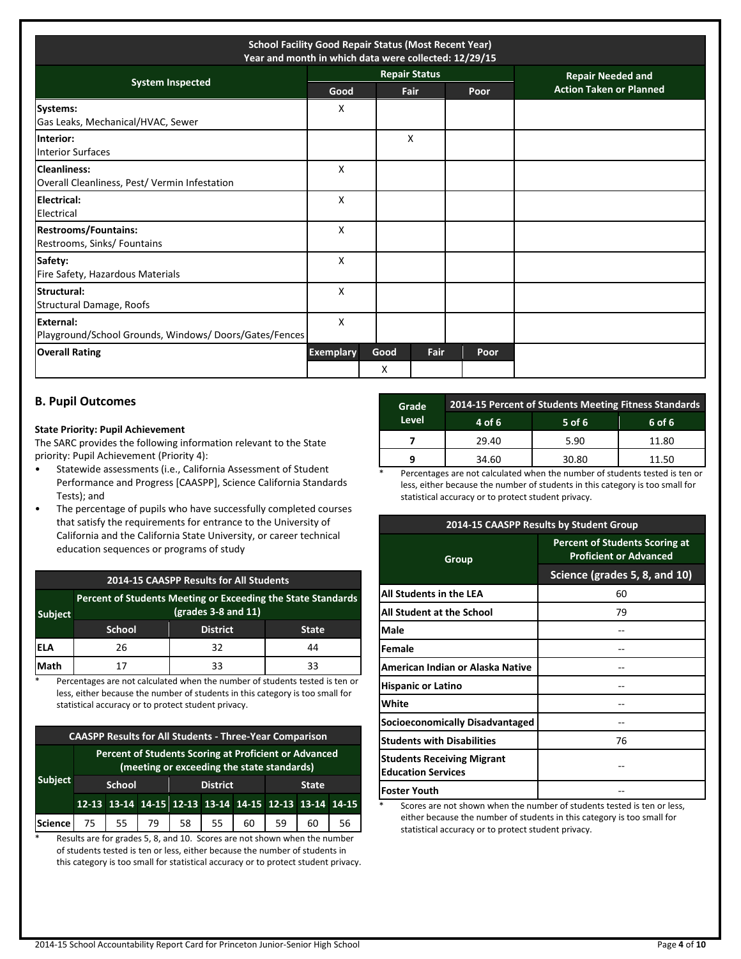| <b>School Facility Good Repair Status (Most Recent Year)</b><br>Year and month in which data were collected: 12/29/15 |                  |           |                      |      |                                |  |  |
|-----------------------------------------------------------------------------------------------------------------------|------------------|-----------|----------------------|------|--------------------------------|--|--|
|                                                                                                                       |                  |           | <b>Repair Status</b> |      | <b>Repair Needed and</b>       |  |  |
| <b>System Inspected</b>                                                                                               | Good             |           | Fair                 | Poor | <b>Action Taken or Planned</b> |  |  |
| Systems:<br>Gas Leaks, Mechanical/HVAC, Sewer                                                                         | X                |           |                      |      |                                |  |  |
| Interior:<br><b>Interior Surfaces</b>                                                                                 |                  |           | X                    |      |                                |  |  |
| <b>Cleanliness:</b><br>Overall Cleanliness, Pest/ Vermin Infestation                                                  | X                |           |                      |      |                                |  |  |
| Electrical:<br>Electrical                                                                                             | X                |           |                      |      |                                |  |  |
| <b>Restrooms/Fountains:</b><br>Restrooms, Sinks/ Fountains                                                            | X                |           |                      |      |                                |  |  |
| Safety:<br>Fire Safety, Hazardous Materials                                                                           | X                |           |                      |      |                                |  |  |
| Structural:<br><b>Structural Damage, Roofs</b>                                                                        | X                |           |                      |      |                                |  |  |
| <b>External:</b><br>Playground/School Grounds, Windows/Doors/Gates/Fences                                             | X                |           |                      |      |                                |  |  |
| <b>Overall Rating</b>                                                                                                 | <b>Exemplary</b> | Good<br>X | Fair                 | Poor |                                |  |  |

## **B. Pupil Outcomes**

#### **State Priority: Pupil Achievement**

The SARC provides the following information relevant to the State priority: Pupil Achievement (Priority 4):

- Statewide assessments (i.e., California Assessment of Student Performance and Progress [CAASPP], Science California Standards Tests); and
- The percentage of pupils who have successfully completed courses that satisfy the requirements for entrance to the University of California and the California State University, or career technical education sequences or programs of study

#### **2014-15 CAASPP Results for All Students**

| <b>Subject</b> | Percent of Students Meeting or Exceeding the State Standards<br>$(grades 3-8 and 11)$ |                 |              |  |  |  |
|----------------|---------------------------------------------------------------------------------------|-----------------|--------------|--|--|--|
|                | <b>School</b>                                                                         | <b>District</b> | <b>State</b> |  |  |  |
| iela           | 26                                                                                    | 32              | 44           |  |  |  |
| Math           |                                                                                       | २२              | 33           |  |  |  |

\* Percentages are not calculated when the number of students tested is ten or less, either because the number of students in this category is too small for statistical accuracy or to protect student privacy.

| <b>CAASPP Results for All Students - Three-Year Comparison</b>                                      |  |                                                  |  |                                                       |           |  |       |    |    |
|-----------------------------------------------------------------------------------------------------|--|--------------------------------------------------|--|-------------------------------------------------------|-----------|--|-------|----|----|
| Percent of Students Scoring at Proficient or Advanced<br>(meeting or exceeding the state standards) |  |                                                  |  |                                                       |           |  |       |    |    |
| <b>Subject</b>                                                                                      |  | <b>District</b><br><b>School</b><br><b>State</b> |  |                                                       |           |  |       |    |    |
|                                                                                                     |  |                                                  |  | 12-13 13-14 14-15 12-13 13-14 14-15 12-13 13-14 14-15 |           |  |       |    |    |
| Science                                                                                             |  |                                                  |  |                                                       | $58$   55 |  | 60 59 | 60 | 56 |

\* Results are for grades 5, 8, and 10. Scores are not shown when the number of students tested is ten or less, either because the number of students in this category is too small for statistical accuracy or to protect student privacy.

| Grade        | 2014-15 Percent of Students Meeting Fitness Standards |          |        |  |  |  |  |
|--------------|-------------------------------------------------------|----------|--------|--|--|--|--|
| <b>Level</b> | 4 of 6                                                | $5$ of 6 | 6 of 6 |  |  |  |  |
|              | 29.40                                                 | 5.90     | 11.80  |  |  |  |  |
|              | 34.60                                                 | 30.80    | 11.50  |  |  |  |  |
|              | .                                                     | $\sim$   | .      |  |  |  |  |

Percentages are not calculated when the number of students tested is ten or less, either because the number of students in this category is too small for statistical accuracy or to protect student privacy.

|                                                                | 2014-15 CAASPP Results by Student Group                                |
|----------------------------------------------------------------|------------------------------------------------------------------------|
| Group                                                          | <b>Percent of Students Scoring at</b><br><b>Proficient or Advanced</b> |
|                                                                | Science (grades 5, 8, and 10)                                          |
| All Students in the LEA                                        | 60                                                                     |
| <b>All Student at the School</b>                               | 79                                                                     |
| Male                                                           |                                                                        |
| lFemale                                                        |                                                                        |
| American Indian or Alaska Native                               |                                                                        |
| <b>Hispanic or Latino</b>                                      |                                                                        |
| <b>White</b>                                                   |                                                                        |
| Socioeconomically Disadvantaged                                |                                                                        |
| <b>Students with Disabilities</b>                              | 76                                                                     |
| <b>Students Receiving Migrant</b><br><b>Education Services</b> |                                                                        |
| lFoster Youth                                                  |                                                                        |

Scores are not shown when the number of students tested is ten or less, either because the number of students in this category is too small for statistical accuracy or to protect student privacy.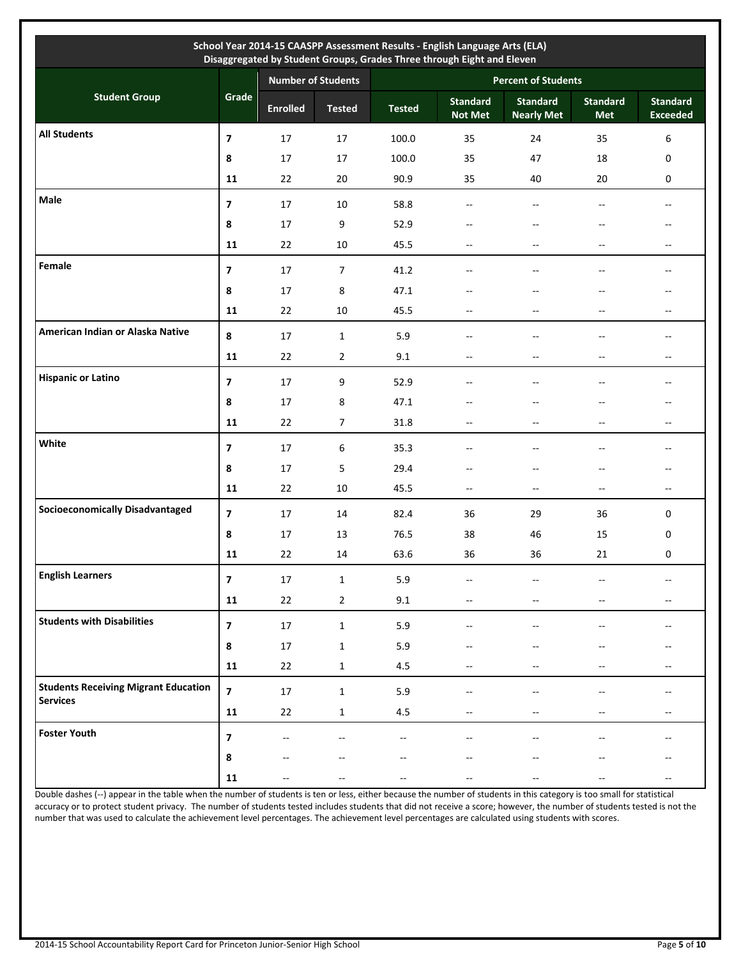| School Year 2014-15 CAASPP Assessment Results - English Language Arts (ELA)<br>Disaggregated by Student Groups, Grades Three through Eight and Eleven |                              |                           |                |               |                                   |                                      |                          |                                    |  |
|-------------------------------------------------------------------------------------------------------------------------------------------------------|------------------------------|---------------------------|----------------|---------------|-----------------------------------|--------------------------------------|--------------------------|------------------------------------|--|
|                                                                                                                                                       |                              | <b>Number of Students</b> |                |               | <b>Percent of Students</b>        |                                      |                          |                                    |  |
| <b>Student Group</b>                                                                                                                                  | Grade                        | <b>Enrolled</b>           | <b>Tested</b>  | <b>Tested</b> | <b>Standard</b><br><b>Not Met</b> | <b>Standard</b><br><b>Nearly Met</b> | <b>Standard</b><br>Met   | <b>Standard</b><br><b>Exceeded</b> |  |
| <b>All Students</b>                                                                                                                                   | $\overline{\mathbf{z}}$      | 17                        | 17             | 100.0         | 35                                | 24                                   | 35                       | 6                                  |  |
|                                                                                                                                                       | 8                            | 17                        | 17             | 100.0         | 35                                | 47                                   | 18                       | 0                                  |  |
|                                                                                                                                                       | 11                           | 22                        | 20             | 90.9          | 35                                | 40                                   | 20                       | $\mathbf 0$                        |  |
| Male                                                                                                                                                  | $\overline{\mathbf{z}}$      | 17                        | 10             | 58.8          | $-$                               |                                      | --                       | --                                 |  |
|                                                                                                                                                       | 8                            | 17                        | 9              | 52.9          | --                                |                                      |                          | --                                 |  |
|                                                                                                                                                       | 11                           | 22                        | 10             | 45.5          | --                                | $\overline{\phantom{a}}$             | --                       | $- -$                              |  |
| Female                                                                                                                                                | $\overline{7}$               | 17                        | $\overline{7}$ | 41.2          | $\sim$                            | $\sim$                               |                          | $- -$                              |  |
|                                                                                                                                                       | 8                            | 17                        | 8              | 47.1          |                                   |                                      |                          | --                                 |  |
|                                                                                                                                                       | 11                           | 22                        | 10             | 45.5          | $- -$                             |                                      | --                       | $\overline{\phantom{a}}$           |  |
| American Indian or Alaska Native                                                                                                                      | 8                            | 17                        | $\mathbf{1}$   | 5.9           | $\overline{a}$                    | $\overline{a}$                       | $-$                      | $- -$                              |  |
|                                                                                                                                                       | 11                           | 22                        | $\overline{2}$ | 9.1           | $-$                               |                                      | --                       | $- -$                              |  |
| <b>Hispanic or Latino</b>                                                                                                                             | $\overline{\mathbf{z}}$      | 17                        | 9              | 52.9          | ۵.                                |                                      |                          | $- -$                              |  |
|                                                                                                                                                       | 8                            | 17                        | 8              | 47.1          |                                   |                                      |                          | $-$                                |  |
|                                                                                                                                                       | 11                           | 22                        | $\overline{7}$ | 31.8          |                                   |                                      |                          | --                                 |  |
| <b>White</b>                                                                                                                                          | $\overline{\mathbf{z}}$      | 17                        | 6              | 35.3          | $-$                               | $\overline{a}$                       | $-$                      | $\sim$ $\sim$                      |  |
|                                                                                                                                                       | 8                            | 17                        | 5              | 29.4          | $-$                               |                                      |                          | $-$                                |  |
|                                                                                                                                                       | 11                           | 22                        | 10             | 45.5          | $-$                               |                                      | $-$                      | $\overline{\phantom{a}}$           |  |
| <b>Socioeconomically Disadvantaged</b>                                                                                                                | $\overline{\mathbf{z}}$      | 17                        | 14             | 82.4          | 36                                | 29                                   | 36                       | $\mathbf 0$                        |  |
|                                                                                                                                                       | 8                            | 17                        | 13             | 76.5          | 38                                | 46                                   | 15                       | 0                                  |  |
|                                                                                                                                                       | 11                           | 22                        | 14             | 63.6          | 36                                | 36                                   | 21                       | 0                                  |  |
| <b>English Learners</b>                                                                                                                               | 7                            | $17\,$                    | $\mathbf{1}$   | 5.9           | $\overline{\phantom{a}}$          |                                      | $-$                      | --                                 |  |
|                                                                                                                                                       | 11                           | 22                        | $\overline{2}$ | 9.1           | $\overline{\phantom{a}}$          | $\overline{a}$                       | $\overline{\phantom{a}}$ | $\overline{\phantom{a}}$           |  |
| <b>Students with Disabilities</b>                                                                                                                     | $\overline{\mathbf{z}}$      | $17\,$                    | $\mathbf 1$    | 5.9           | $\overline{\phantom{a}}$          | $-$                                  |                          | $\overline{\phantom{a}}$           |  |
|                                                                                                                                                       | 8                            | 17                        | $\mathbf 1$    | 5.9           | $-$                               | $\overline{\phantom{a}}$             | --                       | $\overline{\phantom{a}}$           |  |
|                                                                                                                                                       | ${\bf 11}$                   | 22                        | $\mathbf 1$    | 4.5           | $- -$                             | $\overline{\phantom{a}}$             | $-$                      | $\overline{\phantom{a}}$           |  |
| <b>Students Receiving Migrant Education</b>                                                                                                           | $\overline{\mathbf{z}}$      | $17\,$                    | $\mathbf{1}$   | 5.9           | $\overline{a}$                    |                                      |                          | --                                 |  |
| <b>Services</b>                                                                                                                                       | ${\bf 11}$                   | 22                        | $\mathbf{1}$   | 4.5           | --                                | $\overline{\phantom{a}}$             | --                       | $\overline{\phantom{a}}$           |  |
| <b>Foster Youth</b>                                                                                                                                   |                              |                           |                |               |                                   |                                      |                          |                                    |  |
|                                                                                                                                                       | $\overline{\mathbf{z}}$<br>8 |                           |                | --<br>--      | $- -$                             |                                      |                          | --<br>$\overline{\phantom{a}}$     |  |
|                                                                                                                                                       | ${\bf 11}$                   | --                        |                |               |                                   |                                      |                          | $\overline{\phantom{a}}$           |  |

Double dashes (--) appear in the table when the number of students is ten or less, either because the number of students in this category is too small for statistical accuracy or to protect student privacy. The number of students tested includes students that did not receive a score; however, the number of students tested is not the number that was used to calculate the achievement level percentages. The achievement level percentages are calculated using students with scores.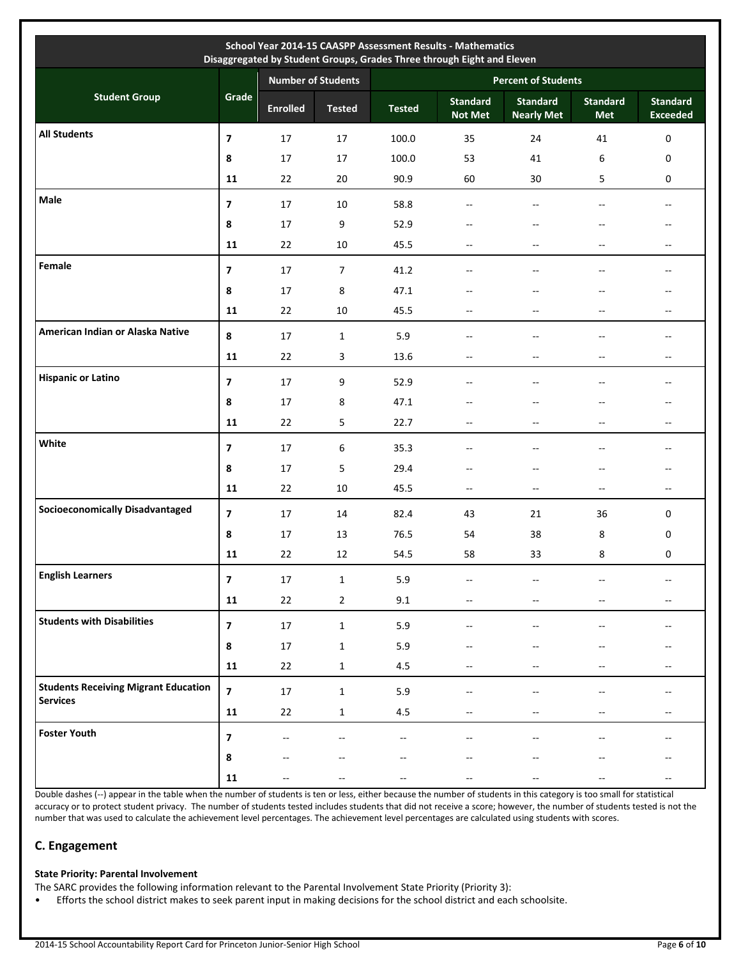|                                             |                          |                           |                |                            | School Year 2014-15 CAASPP Assessment Results - Mathematics<br>Disaggregated by Student Groups, Grades Three through Eight and Eleven |                                      |                          |                                                     |
|---------------------------------------------|--------------------------|---------------------------|----------------|----------------------------|---------------------------------------------------------------------------------------------------------------------------------------|--------------------------------------|--------------------------|-----------------------------------------------------|
|                                             |                          | <b>Number of Students</b> |                | <b>Percent of Students</b> |                                                                                                                                       |                                      |                          |                                                     |
| <b>Student Group</b>                        | Grade                    | <b>Enrolled</b>           | <b>Tested</b>  | <b>Tested</b>              | <b>Standard</b><br><b>Not Met</b>                                                                                                     | <b>Standard</b><br><b>Nearly Met</b> | <b>Standard</b><br>Met   | <b>Standard</b><br><b>Exceeded</b>                  |
| <b>All Students</b>                         | $\overline{\mathbf{z}}$  | 17                        | 17             | 100.0                      | 35                                                                                                                                    | 24                                   | 41                       | $\pmb{0}$                                           |
|                                             | 8                        | 17                        | 17             | 100.0                      | 53                                                                                                                                    | 41                                   | 6                        | 0                                                   |
|                                             | 11                       | 22                        | 20             | 90.9                       | 60                                                                                                                                    | 30                                   | 5                        | $\mathbf 0$                                         |
| Male                                        | $\overline{7}$           | 17                        | 10             | 58.8                       | $-$                                                                                                                                   | $-$                                  | $-$                      | --                                                  |
|                                             | 8                        | 17                        | 9              | 52.9                       | --                                                                                                                                    | --                                   |                          | --                                                  |
|                                             | 11                       | 22                        | 10             | 45.5                       | $\overline{\phantom{a}}$                                                                                                              | $-$                                  | --                       | $\overline{\phantom{a}}$                            |
| Female                                      | $\overline{\phantom{a}}$ | 17                        | $\overline{7}$ | 41.2                       |                                                                                                                                       |                                      |                          | $- -$                                               |
|                                             | 8                        | 17                        | 8              | 47.1                       |                                                                                                                                       | $-$                                  | --                       | $-$                                                 |
|                                             | 11                       | 22                        | 10             | 45.5                       | --                                                                                                                                    | $-$                                  | $-$                      | $- -$                                               |
| American Indian or Alaska Native            | 8                        | 17                        | $\mathbf{1}$   | 5.9                        | $-$                                                                                                                                   | $-$                                  | $-$                      | $-$                                                 |
|                                             | 11                       | 22                        | 3              | 13.6                       | --                                                                                                                                    |                                      | $-$                      | $-$                                                 |
| <b>Hispanic or Latino</b>                   | $\overline{7}$           | 17                        | 9              | 52.9                       | $-$                                                                                                                                   | $-$                                  |                          | --                                                  |
|                                             | 8                        | 17                        | 8              | 47.1                       |                                                                                                                                       |                                      |                          |                                                     |
|                                             | 11                       | 22                        | 5              | 22.7                       | --                                                                                                                                    | $-$                                  | --                       | $- -$                                               |
| White                                       | $\overline{ }$           | 17                        | 6              | 35.3                       | --                                                                                                                                    | --                                   | --                       | --                                                  |
|                                             | 8                        | 17                        | 5              | 29.4                       | --                                                                                                                                    |                                      | --                       | $- -$                                               |
|                                             | 11                       | 22                        | 10             | 45.5                       | $\overline{\phantom{a}}$                                                                                                              | $-$                                  | $-$                      | $\overline{\phantom{a}}$                            |
| <b>Socioeconomically Disadvantaged</b>      | $\overline{ }$           | 17                        | 14             | 82.4                       | 43                                                                                                                                    | 21                                   | 36                       | 0                                                   |
|                                             | 8                        | 17                        | 13             | 76.5                       | 54                                                                                                                                    | 38                                   | 8                        | 0                                                   |
|                                             | 11                       | 22                        | 12             | 54.5                       | 58                                                                                                                                    | 33                                   | 8                        | 0                                                   |
| <b>English Learners</b>                     | $\overline{\mathbf{z}}$  | $17\,$                    | $\mathbf 1$    | 5.9                        | --                                                                                                                                    |                                      |                          | $\hspace{0.05cm} -\hspace{0.05cm} -\hspace{0.05cm}$ |
|                                             | ${\bf 11}$               | 22                        | $\overline{2}$ | 9.1                        | $\overline{\phantom{a}}$                                                                                                              | --                                   | $\overline{\phantom{m}}$ | $\overline{\phantom{a}}$                            |
| <b>Students with Disabilities</b>           | $\overline{\mathbf{z}}$  | $17\,$                    | $\mathbf{1}$   | 5.9                        |                                                                                                                                       |                                      |                          | --                                                  |
|                                             | $\pmb{8}$                | $17\,$                    | $\mathbf{1}$   | 5.9                        |                                                                                                                                       |                                      |                          | --                                                  |
|                                             | 11                       | 22                        | $\mathbf{1}$   | 4.5                        | --                                                                                                                                    |                                      | --                       | $\overline{\phantom{a}}$                            |
| <b>Students Receiving Migrant Education</b> | $\overline{7}$           | $17\,$                    | $\mathbf{1}$   | 5.9                        |                                                                                                                                       |                                      |                          | --                                                  |
| <b>Services</b>                             | ${\bf 11}$               | 22                        | $\mathbf{1}$   | 4.5                        |                                                                                                                                       | --                                   | --                       | $\overline{\phantom{a}}$                            |
| <b>Foster Youth</b>                         |                          |                           |                |                            |                                                                                                                                       |                                      |                          |                                                     |
|                                             | 7                        | $-$                       |                | $-$                        |                                                                                                                                       |                                      |                          | --                                                  |
|                                             | $\pmb{8}$<br>${\bf 11}$  |                           |                |                            |                                                                                                                                       |                                      |                          | $\hspace{0.05cm}$                                   |
|                                             |                          |                           |                |                            |                                                                                                                                       |                                      |                          |                                                     |

Double dashes (--) appear in the table when the number of students is ten or less, either because the number of students in this category is too small for statistical accuracy or to protect student privacy. The number of students tested includes students that did not receive a score; however, the number of students tested is not the number that was used to calculate the achievement level percentages. The achievement level percentages are calculated using students with scores.

## **C. Engagement**

## **State Priority: Parental Involvement**

The SARC provides the following information relevant to the Parental Involvement State Priority (Priority 3):

• Efforts the school district makes to seek parent input in making decisions for the school district and each schoolsite.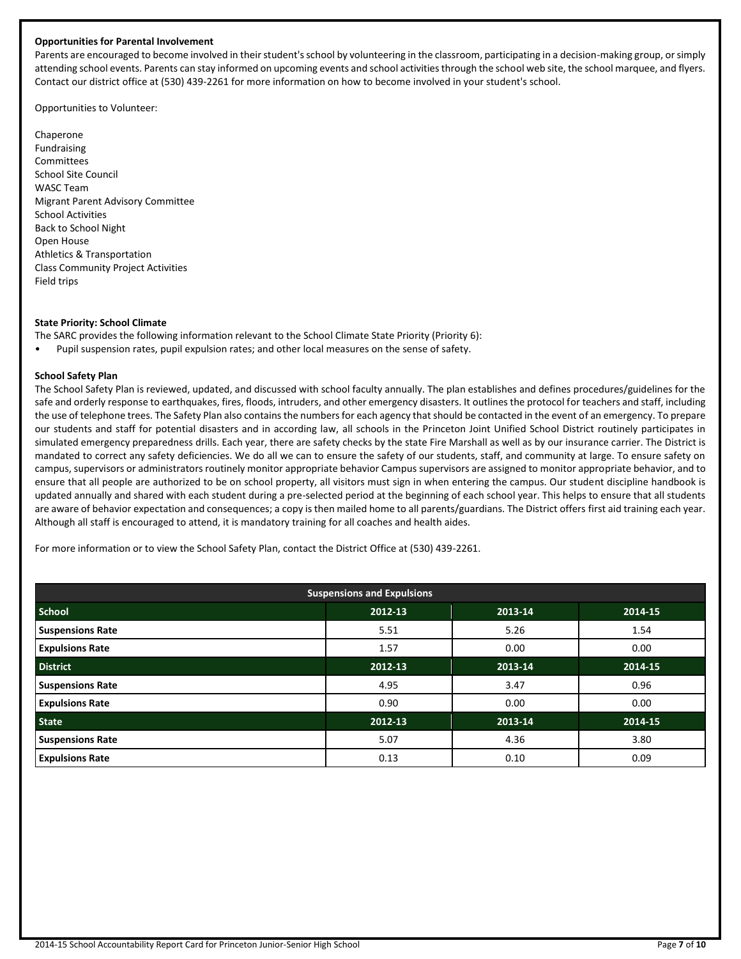#### **Opportunities for Parental Involvement**

Parents are encouraged to become involved in their student's school by volunteering in the classroom, participating in a decision-making group, or simply attending school events. Parents can stay informed on upcoming events and school activities through the school web site, the school marquee, and flyers. Contact our district office at (530) 439-2261 for more information on how to become involved in your student's school.

Opportunities to Volunteer:

Chaperone Fundraising Committees School Site Council WASC Team Migrant Parent Advisory Committee School Activities Back to School Night Open House Athletics & Transportation Class Community Project Activities Field trips

#### **State Priority: School Climate**

The SARC provides the following information relevant to the School Climate State Priority (Priority 6):

• Pupil suspension rates, pupil expulsion rates; and other local measures on the sense of safety.

#### **School Safety Plan**

The School Safety Plan is reviewed, updated, and discussed with school faculty annually. The plan establishes and defines procedures/guidelines for the safe and orderly response to earthquakes, fires, floods, intruders, and other emergency disasters. It outlines the protocol for teachers and staff, including the use of telephone trees. The Safety Plan also contains the numbers for each agency that should be contacted in the event of an emergency. To prepare our students and staff for potential disasters and in according law, all schools in the Princeton Joint Unified School District routinely participates in simulated emergency preparedness drills. Each year, there are safety checks by the state Fire Marshall as well as by our insurance carrier. The District is mandated to correct any safety deficiencies. We do all we can to ensure the safety of our students, staff, and community at large. To ensure safety on campus, supervisors or administrators routinely monitor appropriate behavior Campus supervisors are assigned to monitor appropriate behavior, and to ensure that all people are authorized to be on school property, all visitors must sign in when entering the campus. Our student discipline handbook is updated annually and shared with each student during a pre-selected period at the beginning of each school year. This helps to ensure that all students are aware of behavior expectation and consequences; a copy is then mailed home to all parents/guardians. The District offers first aid training each year. Although all staff is encouraged to attend, it is mandatory training for all coaches and health aides.

For more information or to view the School Safety Plan, contact the District Office at (530) 439-2261.

| <b>Suspensions and Expulsions</b> |         |         |         |  |  |  |
|-----------------------------------|---------|---------|---------|--|--|--|
| <b>School</b>                     | 2012-13 | 2013-14 | 2014-15 |  |  |  |
| <b>Suspensions Rate</b>           | 5.51    | 5.26    | 1.54    |  |  |  |
| <b>Expulsions Rate</b>            | 1.57    | 0.00    | 0.00    |  |  |  |
| <b>District</b>                   | 2012-13 | 2013-14 | 2014-15 |  |  |  |
| <b>Suspensions Rate</b>           | 4.95    | 3.47    | 0.96    |  |  |  |
| <b>Expulsions Rate</b>            | 0.90    | 0.00    | 0.00    |  |  |  |
| <b>State</b>                      | 2012-13 | 2013-14 | 2014-15 |  |  |  |
| <b>Suspensions Rate</b>           | 5.07    | 4.36    | 3.80    |  |  |  |
| <b>Expulsions Rate</b>            | 0.13    | 0.10    | 0.09    |  |  |  |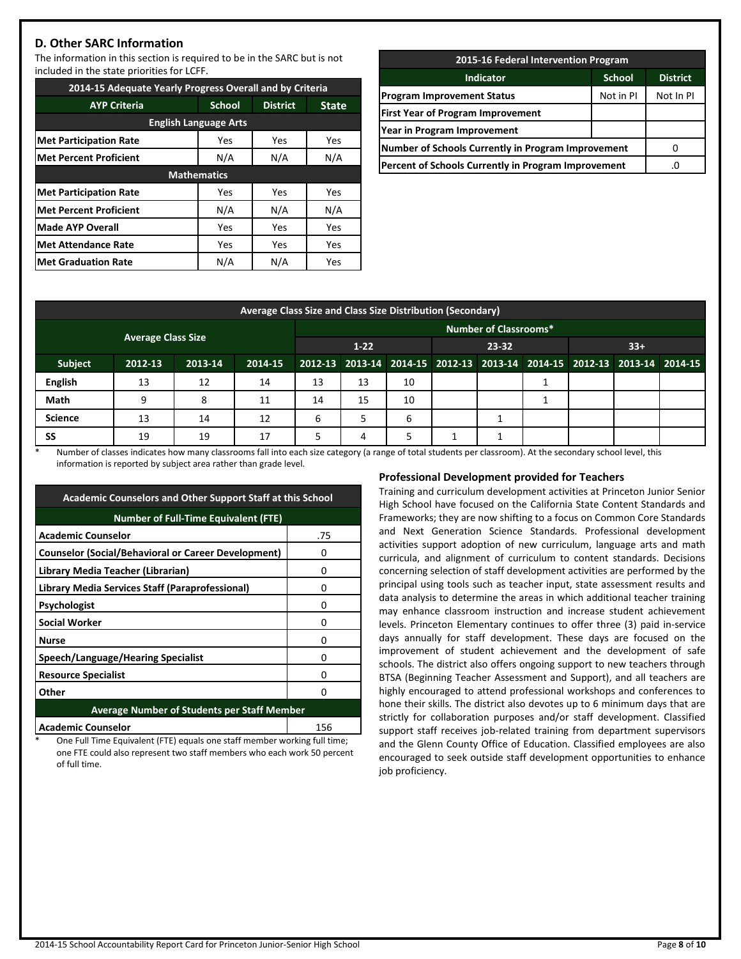## **D. Other SARC Information**

The information in this section is required to be in the SARC but is not included in the state priorities for LCFF.

| 2014-15 Adequate Yearly Progress Overall and by Criteria |                    |                 |              |  |  |  |
|----------------------------------------------------------|--------------------|-----------------|--------------|--|--|--|
| <b>AYP Criteria</b>                                      | <b>School</b>      | <b>District</b> | <b>State</b> |  |  |  |
| <b>English Language Arts</b>                             |                    |                 |              |  |  |  |
| <b>Met Participation Rate</b>                            | Yes                | Yes             | Yes          |  |  |  |
| <b>Met Percent Proficient</b>                            | N/A                | N/A             | N/A          |  |  |  |
|                                                          | <b>Mathematics</b> |                 |              |  |  |  |
| <b>Met Participation Rate</b>                            | Yes                | Yes             | Yes          |  |  |  |
| <b>Met Percent Proficient</b>                            | N/A                | N/A             | N/A          |  |  |  |
| <b>Made AYP Overall</b>                                  | Yes                | Yes             | Yes          |  |  |  |
| <b>Met Attendance Rate</b>                               | Yes                | Yes             | Yes          |  |  |  |
| <b>Met Graduation Rate</b>                               | N/A                | N/A             | Yes          |  |  |  |

| 2015-16 Federal Intervention Program                      |               |                 |  |  |  |
|-----------------------------------------------------------|---------------|-----------------|--|--|--|
| <b>Indicator</b>                                          | <b>School</b> | <b>District</b> |  |  |  |
| <b>Program Improvement Status</b>                         | Not in PI     | Not In PI       |  |  |  |
| <b>First Year of Program Improvement</b>                  |               |                 |  |  |  |
| Year in Program Improvement                               |               |                 |  |  |  |
| <b>Number of Schools Currently in Program Improvement</b> |               |                 |  |  |  |
| Percent of Schools Currently in Program Improvement       | .C            |                 |  |  |  |
|                                                           |               |                 |  |  |  |

| Average Class Size and Class Size Distribution (Secondary) |                           |         |         |                              |    |    |                                                                         |       |  |  |       |  |
|------------------------------------------------------------|---------------------------|---------|---------|------------------------------|----|----|-------------------------------------------------------------------------|-------|--|--|-------|--|
|                                                            |                           |         |         | <b>Number of Classrooms*</b> |    |    |                                                                         |       |  |  |       |  |
|                                                            | <b>Average Class Size</b> |         |         | $1-22$                       |    |    |                                                                         | 23-32 |  |  | $33+$ |  |
| <b>Subject</b>                                             | 2012-13                   | 2013-14 | 2014-15 |                              |    |    | 2012-13 2013-14 2014-15 2012-13 2013-14 2014-15 2012-13 2013-14 2014-15 |       |  |  |       |  |
| <b>English</b>                                             | 13                        | 12      | 14      | 13                           | 13 | 10 |                                                                         |       |  |  |       |  |
| Math                                                       | q                         | 8       | 11      | 14                           | 15 | 10 |                                                                         |       |  |  |       |  |
| <b>Science</b>                                             | 13                        | 14      | 12      | 6                            | 5  | 6  |                                                                         |       |  |  |       |  |
| SS                                                         | 19                        | 19      | 17      | 5                            | 4  | 5  |                                                                         |       |  |  |       |  |

Number of classes indicates how many classrooms fall into each size category (a range of total students per classroom). At the secondary school level, this information is reported by subject area rather than grade level.

| <b>Academic Counselors and Other Support Staff at this School</b> |     |  |  |  |
|-------------------------------------------------------------------|-----|--|--|--|
| <b>Number of Full-Time Equivalent (FTE)</b>                       |     |  |  |  |
| <b>Academic Counselor</b>                                         | .75 |  |  |  |
| <b>Counselor (Social/Behavioral or Career Development)</b>        | 0   |  |  |  |
| Library Media Teacher (Librarian)                                 | 0   |  |  |  |
| Library Media Services Staff (Paraprofessional)                   | 0   |  |  |  |
| Psychologist                                                      | 0   |  |  |  |
| <b>Social Worker</b>                                              | 0   |  |  |  |
| <b>Nurse</b>                                                      | 0   |  |  |  |
| Speech/Language/Hearing Specialist                                | 0   |  |  |  |
| <b>Resource Specialist</b>                                        | n   |  |  |  |
| Other                                                             | ŋ   |  |  |  |
| <b>Average Number of Students per Staff Member</b>                |     |  |  |  |
| <b>Academic Counselor</b>                                         | 156 |  |  |  |

One Full Time Equivalent (FTE) equals one staff member working full time; one FTE could also represent two staff members who each work 50 percent of full time.

## **Professional Development provided for Teachers**

Training and curriculum development activities at Princeton Junior Senior High School have focused on the California State Content Standards and Frameworks; they are now shifting to a focus on Common Core Standards and Next Generation Science Standards. Professional development activities support adoption of new curriculum, language arts and math curricula, and alignment of curriculum to content standards. Decisions concerning selection of staff development activities are performed by the principal using tools such as teacher input, state assessment results and data analysis to determine the areas in which additional teacher training may enhance classroom instruction and increase student achievement levels. Princeton Elementary continues to offer three (3) paid in-service days annually for staff development. These days are focused on the improvement of student achievement and the development of safe schools. The district also offers ongoing support to new teachers through BTSA (Beginning Teacher Assessment and Support), and all teachers are highly encouraged to attend professional workshops and conferences to hone their skills. The district also devotes up to 6 minimum days that are strictly for collaboration purposes and/or staff development. Classified support staff receives job-related training from department supervisors and the Glenn County Office of Education. Classified employees are also encouraged to seek outside staff development opportunities to enhance job proficiency.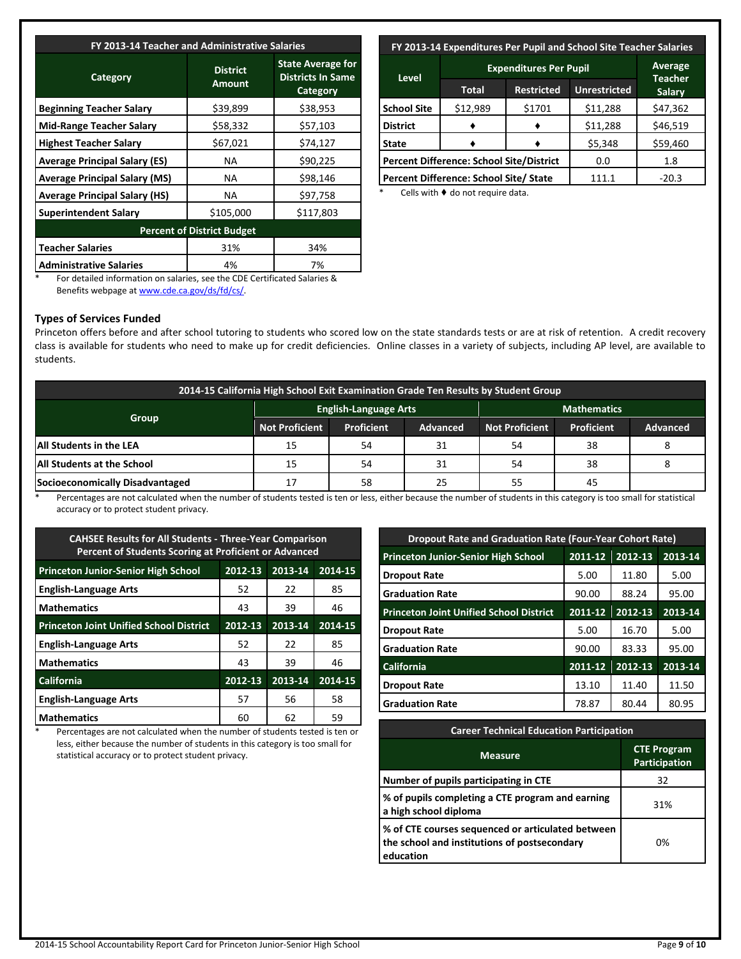| FY 2013-14 Teacher and Administrative Salaries |                                  |                                                                  |  |  |  |
|------------------------------------------------|----------------------------------|------------------------------------------------------------------|--|--|--|
| Category                                       | <b>District</b><br><b>Amount</b> | <b>State Average for</b><br><b>Districts In Same</b><br>Category |  |  |  |
| <b>Beginning Teacher Salary</b>                | \$39,899                         | \$38,953                                                         |  |  |  |
| <b>Mid-Range Teacher Salary</b>                | \$58,332                         | \$57,103                                                         |  |  |  |
| <b>Highest Teacher Salary</b>                  | \$67,021                         | \$74,127                                                         |  |  |  |
| <b>Average Principal Salary (ES)</b>           | NA.                              | \$90,225                                                         |  |  |  |
| <b>Average Principal Salary (MS)</b>           | NA.                              | \$98,146                                                         |  |  |  |
| <b>Average Principal Salary (HS)</b>           | NA.                              | \$97,758                                                         |  |  |  |
| <b>Superintendent Salary</b>                   | \$105,000                        | \$117,803                                                        |  |  |  |
| <b>Percent of District Budget</b>              |                                  |                                                                  |  |  |  |
| <b>Teacher Salaries</b>                        | 31%                              | 34%                                                              |  |  |  |
| <b>Administrative Salaries</b>                 | 4%                               | 7%                                                               |  |  |  |

## **FY 2013-14 Expenditures Per Pupil and School Site Teacher Salaries**

| <b>Level</b>                                    | <b>Expenditures Per Pupil</b>          | Average<br><b>Teacher</b> |                     |               |
|-------------------------------------------------|----------------------------------------|---------------------------|---------------------|---------------|
|                                                 | <b>Restricted</b><br>Total             |                           | <b>Unrestricted</b> | <b>Salary</b> |
| <b>School Site</b>                              | \$12,989                               | \$1701                    | \$11,288            | \$47,362      |
| <b>District</b>                                 |                                        |                           | \$11,288            | \$46,519      |
| <b>State</b>                                    |                                        |                           |                     | \$59,460      |
| <b>Percent Difference: School Site/District</b> |                                        |                           | 0.0                 | 1.8           |
|                                                 | Percent Difference: School Site/ State | 111.1                     | $-20.3$             |               |

Cells with  $\blacklozenge$  do not require data.

For detailed information on salaries, see the CDE Certificated Salaries & Benefits webpage a[t www.cde.ca.gov/ds/fd/cs/.](http://www.cde.ca.gov/ds/fd/cs/)

## **Types of Services Funded**

Princeton offers before and after school tutoring to students who scored low on the state standards tests or are at risk of retention. A credit recovery class is available for students who need to make up for credit deficiencies. Online classes in a variety of subjects, including AP level, are available to students.

| 2014-15 California High School Exit Examination Grade Ten Results by Student Group |                       |                              |                 |                       |                   |          |  |  |
|------------------------------------------------------------------------------------|-----------------------|------------------------------|-----------------|-----------------------|-------------------|----------|--|--|
|                                                                                    |                       | <b>English-Language Arts</b> |                 | <b>Mathematics</b>    |                   |          |  |  |
| Group                                                                              | <b>Not Proficient</b> | <b>Proficient</b>            | <b>Advanced</b> | <b>Not Proficient</b> | <b>Proficient</b> | Advanced |  |  |
| <b>JAII Students in the LEA</b>                                                    | 15                    | 54                           | 31              | 54                    | 38                |          |  |  |
| <b>All Students at the School</b>                                                  | 15                    | 54                           | 31              | 54                    | 38                |          |  |  |
| Socioeconomically Disadvantaged                                                    | 17                    | 58                           | 25              | 55                    | 45                |          |  |  |

Percentages are not calculated when the number of students tested is ten or less, either because the number of students in this category is too small for statistical accuracy or to protect student privacy.

| <b>CAHSEE Results for All Students - Three-Year Comparison</b><br>Percent of Students Scoring at Proficient or Advanced |         |         |         |  |  |
|-------------------------------------------------------------------------------------------------------------------------|---------|---------|---------|--|--|
| <b>Princeton Junior-Senior High School</b>                                                                              | 2012-13 | 2013-14 | 2014-15 |  |  |
| <b>English-Language Arts</b>                                                                                            | 52      | 22      | 85      |  |  |
| <b>Mathematics</b>                                                                                                      | 43      | 39      | 46      |  |  |
| <b>Princeton Joint Unified School District</b>                                                                          | 2012-13 | 2013-14 | 2014-15 |  |  |
| <b>English-Language Arts</b>                                                                                            | 52      | 22      | 85      |  |  |
| <b>Mathematics</b>                                                                                                      | 43      | 39      | 46      |  |  |
| <b>California</b>                                                                                                       | 2012-13 | 2013-14 | 2014-15 |  |  |
| <b>English-Language Arts</b>                                                                                            | 57      | 56      | 58      |  |  |
| <b>Mathematics</b>                                                                                                      | 60      | 62      | 59      |  |  |

\* Percentages are not calculated when the number of students tested is ten or less, either because the number of students in this category is too small for statistical accuracy or to protect student privacy.

| <b>Dropout Rate and Graduation Rate (Four-Year Cohort Rate)</b> |         |         |         |  |  |
|-----------------------------------------------------------------|---------|---------|---------|--|--|
| <b>Princeton Junior-Senior High School</b>                      | 2011-12 | 2012-13 | 2013-14 |  |  |
| <b>Dropout Rate</b>                                             | 5.00    | 11.80   | 5.00    |  |  |
| <b>Graduation Rate</b>                                          | 90.00   | 88.24   | 95.00   |  |  |
| <b>Princeton Joint Unified School District</b>                  | 2011-12 | 2012-13 | 2013-14 |  |  |
| Dropout Rate                                                    | 5.00    | 16.70   | 5.00    |  |  |
| <b>Graduation Rate</b>                                          | 90.00   | 83.33   | 95.00   |  |  |
| <b>California</b>                                               | 2011-12 | 2012-13 | 2013-14 |  |  |
| Dropout Rate                                                    | 13.10   | 11.40   | 11.50   |  |  |
| l Graduation Rate                                               | 78.87   | 80.44   | 80.95   |  |  |

| <b>Career Technical Education Participation</b>                                                                |                                            |  |  |  |
|----------------------------------------------------------------------------------------------------------------|--------------------------------------------|--|--|--|
| <b>Measure</b>                                                                                                 | <b>CTE Program</b><br><b>Participation</b> |  |  |  |
| Number of pupils participating in CTE                                                                          | 32                                         |  |  |  |
| % of pupils completing a CTE program and earning<br>a high school diploma                                      | 31%                                        |  |  |  |
| % of CTE courses sequenced or articulated between<br>the school and institutions of postsecondary<br>education | 0%                                         |  |  |  |